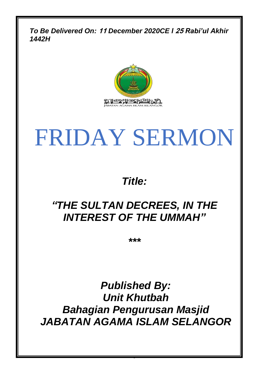*To Be Delivered On:* **11** *December 2020CE l* **25** *Rabi'ul Akhir 1442H*



# FRIDAY SERMON

### *Title:*

## *"THE SULTAN DECREES, IN THE INTEREST OF THE UMMAH"*

*\*\*\**

*Published By: Unit Khutbah Bahagian Pengurusan Masjid JABATAN AGAMA ISLAM SELANGOR*

0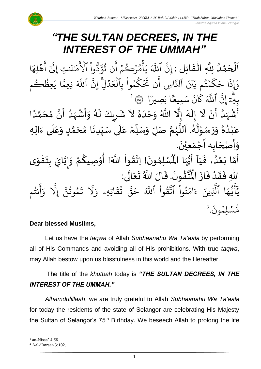*Jabatan Agama Islam Selangor*

## *"THE SULTAN DECREES, IN THE INTEREST OF THE UMMAH"*

.<br>-<br>-ن<br>ا<br>ا اَلْحَمْدُ لِلَّهِ الْقَائِلِ : إِنَّ ٱللَّهَ يَأْمُرُكُمْ أَن تُؤَدُّواْ ٱلْأَمَننتِ إِلَىٰٓ أَهْلِهَا و<br>و **ٔ**  $\overline{\phantom{a}}$ ֦֧֦֧֦֧֦֧֦֧֦֜֜֜֜֜֜֜֜<mark>֦</mark>  $\overline{\phantom{a}}$  $\frac{1}{2}$ ْ هَٰلِهَ )<br>እ ِ<br>ع أ ِ<br>پا ِ<br>ا تِ إِلَيْ َٰ ِ<br>مَٰن<u>َزَّر</u> م ہ<br>آگ وا الا **ٔ** و<br>مم ڏ ِ<br>ء ؤ ن ت و<br>په ِ<br>ج أ  $\frac{1}{2}$ أُمُرُكُمْ و و<br>م ہ<br>م  $\tilde{\cdot}$ ي ِ<br>آک اللَّهَ ِ<br>پَ ِن إ م و ڪُ ور عِظ ِ<br>د ا ي ىد<br>^ نِعِمَّ ہ<br>آک اللَّهَ ا<br>په ِدۡلِۖ إِنَّ ہ<br>ا  $\frac{1}{2}$ كمُوا بِالعَ ہ<br>ا ْ و ر  $\frac{1}{2}$  $\frac{1}{2}$ ن َت ۔<br>ج ا ِس أ ِ<br>په ر<br>بين ٱلنَّ مُتُم بَر و<br>به  $\frac{1}{2}$ ر<br>ح ك  $\tilde{\phantom{a}}$ ا ح  $\ddot{\cdot}$ ِإَوذ بَصِيرًا ا ب ے<br>و ِميع ِ<br>م سک  $\ddot{\cdot}$ ن ا<br>ح َك ہ<br>آک اللَّهَ ِ<br>پَ بِهِۦٓ إِنَّ ٱللَّهَ كَانَ سَمِيعًا بَصِيرًا ۚ ۞ ٱ إ ֺ֝ َ<br>ا ي<br>أَشْهَدُ أَنْ لَا إِلَهَ إِلَّا اللَّهُ وَحْدَهُ لاَ شَرِيكَ لَهُ وَأَشْهَدُ أَنَّ مُحَمَّدًا ំ<br>• ا<br>ئى ا<br>و  $\frac{1}{2}$ ْ د<br>پنجا -<br>-<br>न ے<br>خ  $\frac{1}{2}$ ً<br>ا ر<br>آ ๋<br>ጎ اتا<br>م  $\ddot{\mathbf{z}}$ ر<br>ا َ<br>زار<br>ر ْ  $\frac{1}{2}$  $\tilde{\cdot}$ ر<br>ر َ <u>ر</u>  $\mathbf{r}$  $\ddot{\phantom{0}}$  $^{\circ}$  $\frac{1}{1}$  $\tilde{\cdot}$ ب<br>اللہ ِ ِه .<br>عَبْدُهُ وَرَسُوْلُهُ. اَللَّهُمَّ صَلِّ وَسَلِّمْ عَلَى سَيِّدِنَا مُحَمَّدٍ وَعَلَى ءَالِ  $\frac{1}{2}$ َ<br>آ .<br>ح  $\tilde{\cdot}$ <u>لم</u> ِ<br>م .<br>م  $\ddot{\phantom{0}}$  $\frac{1}{2}$  $\frac{1}{2}$ ۔<br>آ ً<br>م ِّ<br>ا  $\frac{1}{2}$  $\tilde{\cdot}$ لة<br>م ر<br>ر<br>ر نے<br>آ  $\mathbf{r}$ ءِ<br>ھ  $\frac{1}{\epsilon}$ י<br>י ر<br>م  $\tilde{\cdot}$  $\tilde{\cdot}$  $\frac{2}{\lambda}$ ۷<br>م ់<br>រ .<br>م .<br>وَأَصْحَابِه أَجْمَعِيْنَ.  $\overline{\phantom{a}}$ د<br>پنج  $\tilde{\cdot}$  $\ddot{\phantom{0}}$ ّٰ  $\frac{1}{\sqrt{2}}$ ر<br>پنج  $\overline{r}$ م<br>لْمُسْلِ ا اْل ه ي آ أ ي ، ف د ع ا ب م أ ى و ق ت ب ايَ ي إ و مْ ِصيك و ! أ َّللا اَ وا ق ! ِات ون م م<br>اس ُ<br>ُرو<br> ر<br>ج َ  $\frac{1}{2}$ و<br>ا ំ<br>រ َ<br>م ر<br>آ ر<br>پنج  $\frac{1}{2}$ ֦֧֦֧֦֧<u>֦</u>  $\ddot{\phantom{0}}$ <u>ر</u><br>: ا<br>ا  $\frac{1}{2}$  $\tilde{\cdot}$ ر<br>م י<br>י **ہ**<br>م ֦֧֦֧֦֧֦֧֦֧֦֧֦֧֦֧֦֧֦֧֦֧֦֧֜֜֓֓<br>**֧**  $\frac{9}{4}$ الة  $\ddot{\phantom{0}}$ ُ<br>አ ي - مستبحرت عسر<br>تَّقُونَ. قَالَ اللَّهُ تَعَالَى: لا<br>آ  $\overline{\phantom{a}}$ ئے<br>بہ  $\ddot{\ }$  $\ddot{\cdot}$ ا<br>من سم<br>الديد ِّ<br>مُ اللّٰهِ فَقَدْ فَازَ الْمُ  $\frac{1}{2}$  $\ddot{\cdot}$ ْ  $\frac{1}{2}$ -<br>:<br>: م نت و<br>به ِ<br>ج أ ر<br>م و یہ<br>1 َِل إ ِ<br>پ مُوتَنَّ ور و  $\ddot{\cdot}$ نَّ<br>ت ر<br>1 َل  $\frac{1}{2}$ اتِهِۦ و  $\ddot{\Omega}$ ؞ؘٛؿۧ و<br>په ِ<br>په قی  $\overline{\phantom{a}}$ ح ہے<br>آکھ قَوا اللَّهَ ا<br>ا ور<br>د ِ<br>په نُوا اڌّ ا<br>ا ُو<br>و  $\frac{1}{2}$ ام  $\tilde{\cdot}$ ء ِينَ ِ<br>آ ا الَّذِ  $\frac{1}{4}$ ه و<br>د سَ<br>ڊ م<br>ع  $\overline{\phantom{a}}$ ِ<br>ِرِ د  $\ddot{\cdot}$ ون و لِم  $\ddot{\phantom{0}}$ س و<br>مم مُّسَٰلِمُونَ. 2

#### **Dear blessed Muslims,**

Let us have the *taqwa* of Allah *Subhaanahu Wa Ta'aala* by performing all of His Commands and avoiding all of His prohibitions. With true *taqwa*, may Allah bestow upon us blissfulness in this world and the Hereafter.

#### The title of the *khutbah* today is *"THE SULTAN DECREES, IN THE INTEREST OF THE UMMAH."*

*Alhamdulillaah*, we are truly grateful to Allah *Subhaanahu Wa Ta'aala* for today the residents of the state of Selangor are celebrating His Majesty the Sultan of Selangor's 75<sup>th</sup> Birthday. We beseech Allah to prolong the life

 $<sup>1</sup>$  an-Nisaa' 4:58.</sup>

<sup>2</sup> Aal-'Imraan 3:102.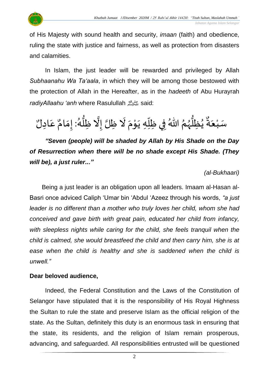

of His Majesty with sound health and security, *imaan* (faith) and obedience, ruling the state with justice and fairness, as well as protection from disasters and calamities.

In Islam, the just leader will be rewarded and privileged by Allah *Subhaanahu Wa Ta'aala*, in which they will be among those bestowed with the protection of Allah in the Hereafter, as in the *hadeeth* of Abu Hurayrah *radiyAllaahu 'anh* where Rasulullahصلى الله عليه وسلمsaid:

عَادِكٌ  $\frac{1}{2}$  $\mathbf{r}$ اللّهُ فِي ظِلّهِ يَوْمَ لَا ظِلَّ إِلَّا ظِلُّهُ: إِمَامٌ  $\frac{1}{2}$ ر<br>گ بر<br>ا ا<br>الح  $\tilde{\mathbf{r}}$  $\frac{1}{2}$ י<br>י  $\ddot{\phantom{0}}$ ِ<br>ا  $\frac{2}{3}$  iii  $\frac{2}{3}$ ؽؙ<u>ڟ</u>ؚڵؖؠۢٛؗؗ<br>ؽ ر<br>ر<br>ر  $\frac{3}{1}$ ُ<br>ٍ•  $\frac{9}{4}$ ية<br>مَكْبَعَة  $\frac{1}{2}$ ំ<br>រ

*"Seven (people) will be shaded by Allah by His Shade on the Day of Resurrection when there will be no shade except His Shade. (They will be), a just ruler..."*

*(al-Bukhaari)*

Being a just leader is an obligation upon all leaders. Imaam al-Hasan al-Basri once adviced Caliph 'Umar bin 'Abdul 'Azeez through his words, *"a just leader is no different than a mother who truly loves her child, whom she had conceived and gave birth with great pain, educated her child from infancy, with sleepless nights while caring for the child, she feels tranquil when the child is calmed, she would breastfeed the child and then carry him, she is at ease when the child is healthy and she is saddened when the child is unwell."*

#### **Dear beloved audience,**

Indeed, the Federal Constitution and the Laws of the Constitution of Selangor have stipulated that it is the responsibility of His Royal Highness the Sultan to rule the state and preserve Islam as the official religion of the state. As the Sultan, definitely this duty is an enormous task in ensuring that the state, its residents, and the religion of Islam remain prosperous, advancing, and safeguarded. All responsibilities entrusted will be questioned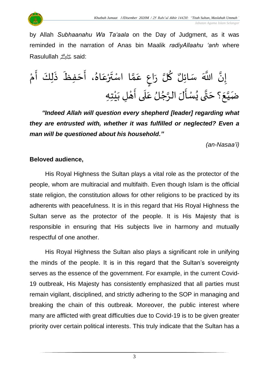

 *Jabatan Agama Islam Selangor*

by Allah *Subhaanahu Wa Ta'aala* on the Day of Judgment, as it was reminded in the narration of Anas bin Maalik *radiyAllaahu 'anh* where Rasulullahصلى الله عليه وسلمsaid:

ْ م َ أ ِكَ ل َ ذ َ ِفظ َ ح َ ، أ ُ اه َ ع ْ ر َ ت ا اسْ ا م َ ع ٍ اع َ ر لا ُ ك ِلٌ ائ سَ َّللا اَ ا ِن إ َ ع ا ي ضَ ُ ىي ا ت َ ِه ؟ ح ِت ْ ي َ ِل ب ْ ه َ ىأ َ ل َ ع لُ ُ ج ا الر لَ َ أ سْ

*"Indeed Allah will question every shepherd [leader] regarding what they are entrusted with, whether it was fulfilled or neglected? Even a man will be questioned about his household."*

*(an-Nasaa'i)*

#### **Beloved audience,**

His Royal Highness the Sultan plays a vital role as the protector of the people, whom are multiracial and multifaith. Even though Islam is the official state religion, the constitution allows for other religions to be practiced by its adherents with peacefulness. It is in this regard that His Royal Highness the Sultan serve as the protector of the people. It is His Majesty that is responsible in ensuring that His subjects live in harmony and mutually respectful of one another.

His Royal Highness the Sultan also plays a significant role in unifying the minds of the people. It is in this regard that the Sultan's sovereignty serves as the essence of the government. For example, in the current Covid-19 outbreak, His Majesty has consistently emphasized that all parties must remain vigilant, disciplined, and strictly adhering to the SOP in managing and breaking the chain of this outbreak. Moreover, the public interest where many are afflicted with great difficulties due to Covid-19 is to be given greater priority over certain political interests. This truly indicate that the Sultan has a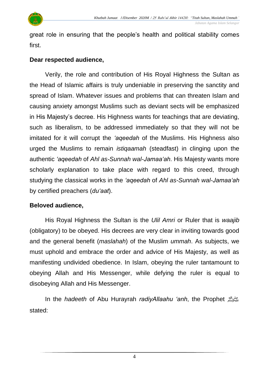

 *Jabatan Agama Islam Selangor*

great role in ensuring that the people's health and political stability comes first.

#### **Dear respected audience,**

Verily, the role and contribution of His Royal Highness the Sultan as the Head of Islamic affairs is truly undeniable in preserving the sanctity and spread of Islam. Whatever issues and problems that can threaten Islam and causing anxiety amongst Muslims such as deviant sects will be emphasized in His Majesty's decree. His Highness wants for teachings that are deviating, such as liberalism, to be addressed immediately so that they will not be imitated for it will corrupt the *'aqeedah* of the Muslims. His Highness also urged the Muslims to remain *istiqaamah* (steadfast) in clinging upon the authentic *'aqeedah* of *Ahl as-Sunnah wal-Jamaa'ah*. His Majesty wants more scholarly explanation to take place with regard to this creed, through studying the classical works in the *'aqeedah* of *Ahl as-Sunnah wal-Jamaa'ah* by certified preachers (*du'aat*).

#### **Beloved audience,**

His Royal Highness the Sultan is the *Ulil Amri* or Ruler that is *waajib* (obligatory) to be obeyed. His decrees are very clear in inviting towards good and the general benefit (*maslahah*) of the Muslim *ummah*. As subjects, we must uphold and embrace the order and advice of His Majesty, as well as manifesting undivided obedience. In Islam, obeying the ruler tantamount to obeying Allah and His Messenger, while defying the ruler is equal to disobeying Allah and His Messenger.

In the *hadeeth* of Abu Hurayrah *radiyAllaahu 'anh*, the Prophet صلى الله عليه وسلم stated: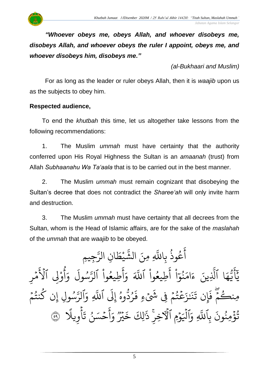*"Whoever obeys me, obeys Allah, and whoever disobeys me, disobeys Allah, and whoever obeys the ruler I appoint, obeys me, and whoever disobeys him, disobeys me."* 

*(al-Bukhaari and Muslim)*

For as long as the leader or ruler obeys Allah, then it is *waajib* upon us as the subjects to obey him.

#### **Respected audience,**

To end the *khutbah* this time, let us altogether take lessons from the following recommendations:

1. The Muslim *ummah* must have certainty that the authority conferred upon His Royal Highness the Sultan is an *amaanah* (trust) from Allah *Subhaanahu Wa Ta'aala* that is to be carried out in the best manner.

2. The Muslim *ummah* must remain cognizant that disobeying the Sultan's decree that does not contradict the *Sharee'ah* will only invite harm and destruction.

3. The Muslim *ummah* must have certainty that all decrees from the Sultan, whom is the Head of Islamic affairs, are for the sake of the *maslahah* of the *ummah* that are *waajib* to be obeyed.

ِجيِم ِ<br>سَ ِن الر ا  $\frac{1}{2}$ يظ ْ لن<br>مه لَّهِ مِنَ الشَّ عُوذُ بِاللَّهِ و<br>په و<br>م ِ<br>ج أ مُرِ  $\frac{1}{2}$ ہ<br>م<br>م وْلِي الا ْ م و<br>ع أ ر<br>ہ و ِ<br>ا ول س و ِ<br>سَ طِيعُوا الرَّ **ٔ** و<br>م .<br>ع أ  $\frac{1}{\alpha}$ و ِ<br>آک طِيعُوا اللَّهَ ُ<br>ا و<br>م ِ<br>ج أ ْ ا  $\frac{1}{\epsilon}$ بر<br>نوا ُو<br>و  $\frac{1}{2}$ ام  $\tilde{\zeta}$ ء ِينَ ِ<br>آ ا الَّذِ ِ<br>م ه ی<br>د سَ<br>ڊ ِ<br>ج  $\overline{\phantom{a}}$ ِ<br>د بد  $\frac{1}{2}$ سُولِ إِن كُنتُمْ و<br>په و و ِ<br>سَ الرَّ .<br>م ِ و بر<br>ا اللَّهِ ر<br>1 وهُ إِلَى و<br>م ور<br>منا وڻ<br>رد ُ  $\ddot{\cdot}$ ِ<br>نِكْتُمۡ فِی شَیۡ ءِ فَ **ہ**  $\frac{1}{2}$ و<br>په ر<br>م َ َٰز  $\ddot{\cdot}$ بَد  $\ddot{\phantom{0}}$ ِن ت إ  $\ddot{\cdot}$ مِنكُمْ فَم  $\frac{1}{2}$ و  $\ddot{\cdot}$ ِ<br>آ بِاللَّهِ  $\ddot{\cdot}$ تُؤْمِنُونَ ُو<br>و ہ<br>\$ و<br>په ا<br>آ أوِيلا ہ<br>م  $\ddot{\cdot}$ ِ<br>حَسَنُ تَ ُ  $\frac{1}{2}$ ِ<br>ج أ  $\frac{1}{c}$ و دوو<br>م دوو<br>بير  $\ddot{\cdot}$ خ لِكَ َ َٰ وۡمِ ٱلۡٱخِرِ ٰ ذَٰٰٓ  $\ddot{\phantom{0}}$  $\overline{\phantom{a}}$ ہ<br>1 اليہ َ<br>م وَالْيَوْمِ الْأَخِرِ ذَٰلِكَ خَيْرٌ وَأَحْسَنُ تَأْوِيلًا ۚ ﴾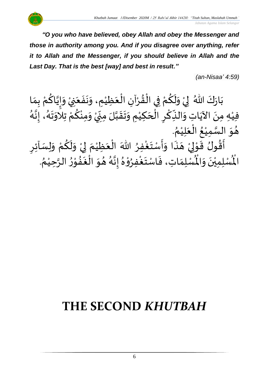*"O you who have believed, obey Allah and obey the Messenger and those in authority among you. And if you disagree over anything, refer it to Allah and the Messenger, if you should believe in Allah and the Last Day. That is the best [way] and best in result."*

*(an-Nisaa' 4:59)*

ْ اللّهُ فِي وَلَكُمْ فِي الْقُرْآنِ الْعَظِيْمِ، وَنَفَعَنِيْ  $\overline{\phantom{a}}$  $\ddot{\cdot}$  $\ddot{\phantom{0}}$  $\tilde{\cdot}$ ْ َ ْ ْ  $\frac{9}{4}$ ֦֧֦֧֦֧֦֧֦֧֦֧֦֧֦֧֜֜֜֓֓<br>**֡** ْ <u>ہ</u>  $\tilde{\mathbf{r}}$  $\frac{1}{2}$ ْ ء<br>وَ الأو بَارَكَ اللّهُ ۖ لِيُ وَلَكُمْ فِي الْقُرْآنِ الْعَظِيْمِ، وَنَفَعَنِيْ وَإِيَّاكُمْ بِمَا  $\frac{1}{2}$  $\ddot{\phantom{0}}$  $\frac{1}{\lambda}$ ْ <u>و</u> اتا<br>ا  $\frac{1}{2}$  $\tilde{\cdot}$ ة<br>الم ِ.<br>فِيْهِ مِنَ الآيَاتِ وَالنِّكْرِ الْحَكِيْمِ وَتَقَبَّلَ مِنِّيْ وَمِنْكُمْ تِلاَوَتَهُ، إِنَّهُ ْ ر<br>م ْ ∕<br>^ ْ ְ<br>ֳ<br>∙  $\sum$ ا<br>م  $\frac{1}{2}$  $\ddot{\phantom{0}}$ ا<br>ا ំ<br>រ  $\overline{\phantom{a}}$ ِ<br>أ∂ <u>ر</u> ا<br>م ِ<br>پہ  $\frac{1}{2}$ ِ<br>پُ  $\frac{1}{2}$ ِّ<br>ْ —<br>}<br>1 ا<br>تار<br>.  $\frac{1}{2}$ —<br>}<br>1  $\frac{1}{2}$ ۰<br>ام . ٍ<br>∕\* هُوَ السَّمِيْعُ الْعَلِيْمُ `<br>' َ ا<br>أ .<br>و ْ سه<br>ما  $\frac{1}{2}$  $\frac{1}{2}$ <u>ر</u> حَسِبِي حَسِبَةٍ.<br>أَقُولُ قَوْلِيْ هَذَا وَأَسْتَغْفِرُ اللّهَ الْعَظِيْمَ لِيْ وَلَكُمْ وَلِسَائِرِ  $\frac{1}{2}$ ْ <u>و</u>  $\tilde{\mathbf{r}}$  $\frac{1}{2}$ ْ إ  $\frac{1}{2}$ ់<br>រ َ ْ ∫<br>∕ ْ  $\ddot{\phantom{0}}$  $\frac{1}{2}$  $\frac{1}{2}$ َ ::<br>-<br>▲ ْ لمح ់<br>្ र<br>:<br>:  $\frac{9}{2}$ ا<br>ب . ُ َ الْحَوْنَ قُوْلِي هَذَا وَاسْتَعْفِرْ الله الْعَظِيمَ فِي وَلَّكُمْ وَلِلْهُ<br>لَّمُنْلِمِيْنَ وَالْمُمْلِمَاتِ، فَاسْتَغْفِرُوْهُ إِنَّهُ هُوَ الْغَفُوْرُ الرَّحِيْمُ ر<br>د ا<br>تار ۔<br>ڊ י<br>י ِ<br>په  $\geq$ ا<br>ف ์ $\overline{\phantom{a}}$  $\frac{1}{2}$ —<br>}<br>1 ا<br>تابع<br>•  $\frac{1}{2}$  $^2$ ֦֧֦֧֦ **ء** ا<br>ابر<br>ابرا  $\ddot{\ }$  $\frac{1}{2}$  $\frac{1}{2}$ و<br>پُ  $\frac{1}{2}$ ا<br>. ا<br>ا الْم

## **THE SECOND** *KHUTBAH*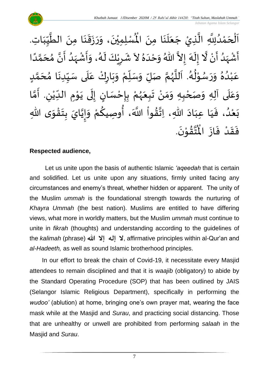*Jabatan Agama Islam Selangor*

ْ ِ<br>اَلْحَمْدُلِلَّهِ الَّذِيْ جَعَلَنَا مِنَ الْمُسْلِمِيْنَ، وَرَزَقَنَا مِنَ الطَّيِّبَاتِ  $\overline{\phantom{a}}$  $\frac{1}{2}$  $\frac{1}{2}$ ِّس ا<br>ا  $\ddot{\phantom{0}}$  $\ddot{\phantom{0}}$  $\ddot{\phantom{0}}$  $\ddot{\cdot}$  $\frac{1}{2}$  $\frac{1}{2}$  $\ddot{\phantom{0}}$ ْ جَمْدُلِلَّهِ الَّذِيْ جَعَلَنَا مِنَ الْمُسْلِمِيْنَ، وَرَزَقَنَا مِنَ الطَّيِّبَاتِ.  $\ddot{\phantom{0}}$  $\ddot{\phantom{0}}$  $\overline{\mathbf{a}}$ َ  $\overline{\phantom{a}}$ ا<br>ا ا<br>په و<br>و ់<br><  $\overline{\phantom{a}}$ ا<br>الم أَشْهَدُ أَنْ لَّا إِلَهَ إِلاَّ اللّهُ وَحْدَهُ لاَ شَرِيْكَ لَهُ، وَأَشْهَدُ أَنَّ مُحَمَّدًا ْ  $\tilde{\mathbf{z}}$ و<br>ا ً<br>زلا ْ ِ<br>پنج و<br>گ اتا ં<br>ત  $\tilde{\cdot}$  $\frac{1}{2}$  $\tilde{\phantom{0}}$  $\frac{1}{2}$ َ  $\frac{1}{2}$ ً<br>أ ن<br>م َ  $\frac{1}{2}$ ن<br>• ا<br>ج <br>ا  $\frac{1}{2}$ ْ  $\frac{1}{2}$  $\tilde{\cdot}$ و<br>گ  $\tilde{\mathbf{r}}$ ْ ِ  $\frac{1}{2}$ عَبْدُهُ وَرَسُوْلُهُ. اَللَّهُمَّ صَلِّ وَسَلِّمْ وَبَارِكْ عَلَى سَيِّدِنَا مُحَمَّدٍ ِّ  $\frac{1}{2}$ ے<br>آ ِ<br>م ْ  $\ddot{\phantom{0}}$ ์ $\frac{1}{2}$ ْ  $\frac{1}{\sqrt{2}}$  $\overline{r}$  $\frac{1}{2}$ ن<br>م ر<br>ر<br>ر ا<br>ا  $\ddot{\phantom{0}}$ و<br>گ  $\frac{1}{2}$ ּ<br>י و<br>ر  $\frac{1}{2}$  $\frac{1}{2}$  $\frac{2}{\lambda}$ .<br>و ْ .<br>م <u>لم</u> ل<br>م  $\overline{\phantom{a}}$  $\frac{1}{2}$  $\ddot{\phantom{0}}$ وَعَلَى آلِهِ وَصَحْبِهِ وَمَنْ تَبِعَهُمْ بِإِحْسَانٍ إِلَى يَوْمِ الدِّيْنِ. أَمَّا  $\overline{\mathbf{1}}$ .<br>م  $\tilde{\cdot}$ ن<br>م َ ِ ٝ<br>ؙ ِّ **→** י<br>י  $\ddot{\phantom{0}}$  $\ddot{\phantom{0}}$ ل  $\frac{1}{2}$ <u>ل</u> ֦֧֦֧֦֧<u>֦</u> <u>ر</u><br>-ْ ر<br>ر<br>ر  $\frac{1}{2}$  $\ddot{\phantom{0}}$ ំ<br>•  $\frac{1}{2}$  $\frac{1}{2}$ ֦֧<u>֦</u> حَدٌ، فَيَا عِبَادَ اللهِ، اِتَّقُواْ اللَّهَ، أُوصِيكُمْ وَإِيَّايَ بِتَقْوَى اللهِ ۖ  $\frac{1}{2}$ ֦֧֦֧֦֧֝<u>֦</u>  $\ddot{\phantom{0}}$ **ؚ** ن<br>•<br>•  $\frac{1}{2}$  $\frac{1}{2}$ ْ **∕**<br>م ُ<br>وُ ر<br>ا  $\frac{9}{4}$ ا<br>به<br>\*  $\ddot{\phantom{0}}$ َ َ  $\frac{1}{2}$ و<br>و ំ<br>រ  $\ddot{\ }$ .  $\ddot{\phantom{0}}$ تَقَوْنَ ֦֧֦֝<br>**֧**  $\frac{9}{4}$ ا<br>این<br>جو ر<br>مو فَقَدْ فَازَ الْمُ  $\ddot{\cdot}$  $\ddot{\cdot}$ **ٔ**  $\frac{1}{2}$  $\frac{1}{2}$ 

#### **Respected audience,**

Let us unite upon the basis of authentic Islamic *'aqeedah* that is certain and solidified. Let us unite upon any situations, firmly united facing any circumstances and enemy's threat, whether hidden or apparent. The unity of the Muslim *ummah* is the foundational strength towards the nurturing of *Khayra Ummah* (the best nation). Muslims are entitled to have differing views, what more in worldly matters, but the Muslim *ummah* must continue to unite in *fikrah* (thoughts) and understanding according to the guidelines of the *kalimah* (phrase) **لا إله إلا الله is, affirmative principles within al-Qur'an and** *al-Hadeeth,* as well as sound Islamic brotherhood principles.

In our effort to break the chain of Covid-19, it necessitate every Masjid attendees to remain disciplined and that it is *waajib* (obligatory) to abide by the Standard Operating Procedure (SOP) that has been outlined by JAIS (Selangor Islamic Religious Department), specifically in performing the *wudoo'* (ablution) at home, bringing one's own prayer mat, wearing the face mask while at the Masjid and *Surau*, and practicing social distancing. Those that are unhealthy or unwell are prohibited from performing *salaah* in the Masjid and *Surau*.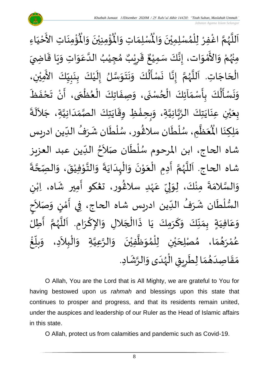*Jabatan Agama Islam Selangor*



O Allah, You are the Lord that is All Mighty, we are grateful to You for having bestowed upon us *rahmah* and blessings upon this state that continues to prosper and progress, and that its residents remain united, under the auspices and leadership of our Ruler as the Head of Islamic affairs in this state.

O Allah, protect us from calamities and pandemic such as Covid-19.

8